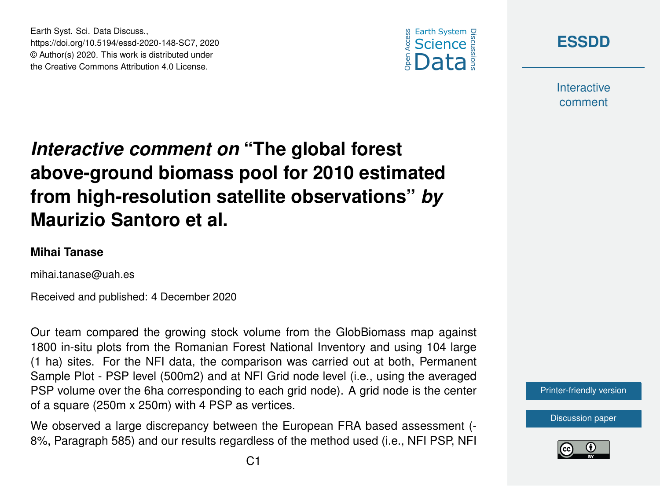



**Interactive** comment

## *Interactive comment on* **"The global forest above-ground biomass pool for 2010 estimated from high-resolution satellite observations"** *by* **Maurizio Santoro et al.**

## **Mihai Tanase**

mihai.tanase@uah.es

Earth Syst. Sci. Data Discuss.,

https://doi.org/10.5194/essd-2020-148-SC7, 2020 © Author(s) 2020. This work is distributed under the Creative Commons Attribution 4.0 License.

Received and published: 4 December 2020

Our team compared the growing stock volume from the GlobBiomass map against 1800 in-situ plots from the Romanian Forest National Inventory and using 104 large (1 ha) sites. For the NFI data, the comparison was carried out at both, Permanent Sample Plot - PSP level (500m2) and at NFI Grid node level (i.e., using the averaged PSP volume over the 6ha corresponding to each grid node). A grid node is the center of a square (250m x 250m) with 4 PSP as vertices.

We observed a large discrepancy between the European FRA based assessment (- 8%, Paragraph 585) and our results regardless of the method used (i.e., NFI PSP, NFI



[Discussion paper](https://essd.copernicus.org/preprints/essd-2020-148)